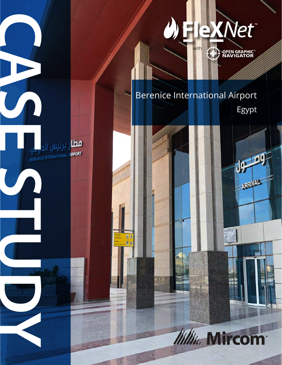

**OPEN GRAPHIC<sup>®</sup>**<br>NAVIGATOR  $\bigoplus$ 

# Berenice International Airport

<mark>مطا</mark>ر برنیس <sub>الد</sub>

 $\blacksquare$  $\overline{P}$   $\overline{\Theta}$ 

BERENICE INTERNATIONAL AIRPORT

Egypt

**USE 29** 

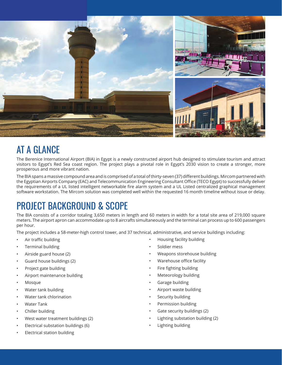

### AT A GLANCE

The Berenice International Airport (BIA) in Egypt is a newly constructed airport hub designed to stimulate tourism and attract visitors to Egypt's Red Sea coast region. The project plays a pivotal role in Egypt's 2030 vision to create a stronger, more prosperous and more vibrant nation.

The BIA spans a massive compound area and is comprised of a total of thirty-seven (37) different buildings. Mircom partnered with the Egyptian Airports Company (EAC) and Telecommunication Engineering Consultant Office (TECO Egypt) to successfully deliver the requirements of a UL listed intelligent networkable fire alarm system and a UL Listed centralized graphical management software workstation. The Mircom solution was completed well within the requested 16 month timeline without issue or delay.

## PROJECT BACKGROUND & SCOPE

The BIA consists of a corridor totaling 3,650 meters in length and 60 meters in width for a total site area of 219,000 square meters. The airport apron can accommodate up to 8 aircrafts simultaneously and the terminal can process up to 600 passengers per hour.

The project includes a 58-meter-high control tower, and 37 technical, administrative, and service buildings including:

- Air traffic building
- Terminal building
- Airside guard house (2)
- Guard house buildings (2)
- Project gate building
- Airport maintenance building
- Mosque
- Water tank building
- Water tank chlorination
- Water Tank
- Chiller building
- West water treatment buildings (2)
- Electrical substation buildings (6)
- Electrical station building
- Housing facility building
- Soldier mess
- Weapons storehouse building
- Warehouse office facility
- Fire fighting building
- Meteorology building
- Garage building
- Airport waste building
- Security building
- Permission building
- Gate security buildings (2)
- Lighting substation building (2)
- Lighting building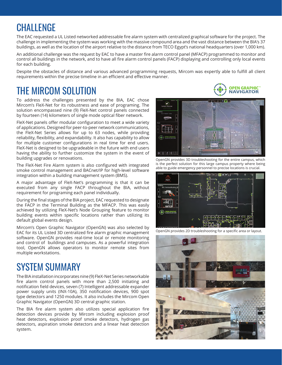#### **CHALLENGE**

The EAC requested a UL Listed networked addressable fire alarm system with centralized graphical software for the project. The challenge in implementing the system was working with the massive compound area and the vast distance between the BIA's 37 buildings, as well as the location of the airport relative to the distance from TECO Egypt's national headquarters (over 1,000 km).

An additional challenge was the request by EAC to have a master fire alarm control panel (MFACP) programmed to monitor and control all buildings in the network, and to have all fire alarm control panels (FACP) displaying and controlling only local events for each building.

Despite the obstacles of distance and various advanced programming requests, Mircom was expertly able to fulfill all client requirements within the precise timeline in an efficient and effective manner.

### THE MIRCOM SOLUTION

To address the challenges presented by the BIA, EAC chose Mircom's FleX-Net for its robustness and ease of programing. The solution encompassed nine (9) FleX-Net control panels connected by fourteen (14) kilometers of single mode optical fiber network.

FleX-Net panels offer modular configuration to meet a wide variety of applications. Designed for peer-to-peer network communications, the FleX-Net Series allows for up to 63 nodes, while providing reliability, flexibility, and expandability. It also has capability to allow for multiple customer configurations in real time for end users. FleX-Net is designed to be upgradeable in the future with end users having the ability to further customize the system in the event of building upgrades or renovations.

The FleX-Net Fire Alarm system is also configured with integrated smoke control management and BACnet/IP for high-level software integration within a building management system (BMS).

A major advantage of FleX-Net's programming is that it can be executed from any single FACP throughout the BIA, without requirement for programing each panel individually.

During the final stages of the BIA project, EAC requested to designate the FACP in the Terminal Building as the MFACP. This was easily achieved by utilizing FleX-Net's Node Grouping feature to monitor building events within specific locations rather than utilizing its default global events design.

Mircom's Open Graphic Navigator (OpenGN) was also selected by EAC for its UL Listed 3D centralized fire alarm graphic management software. OpenGN provides real-time local or remote monitoring and control of buildings and campuses. As a powerful integration tool, OpenGN allows operators to monitor remote sites from multiple workstations.

### SYSTEM SUMMARY

The BIA installation incorporates nine (9) FleX-Net Series networkable fire alarm control panels with more than 2,500 initiating and notification field devices, seven (7) Intelligent addressable expander power supply units (INX-10A), 350 notification devices, 900 spot type detectors and 1250 modules. It also includes the Mircom Open Graphic Navigator (OpenGN) 3D central graphic station.

The BIA fire alarm system also utilizes special application fire detection devices provide by Mircom including explosion proof heat detectors, explosion proof smoke detectors, hydrogen gas detectors, aspiration smoke detectors and a linear heat detection system.





OpenGN provides 3D troubleshooting for the entire campus, which is the perfect solution for this large campus property where being able to guide emergency personnel to precise locations is crucial.



OpenGN provides 2D troubleshooting for a specific area or layout.